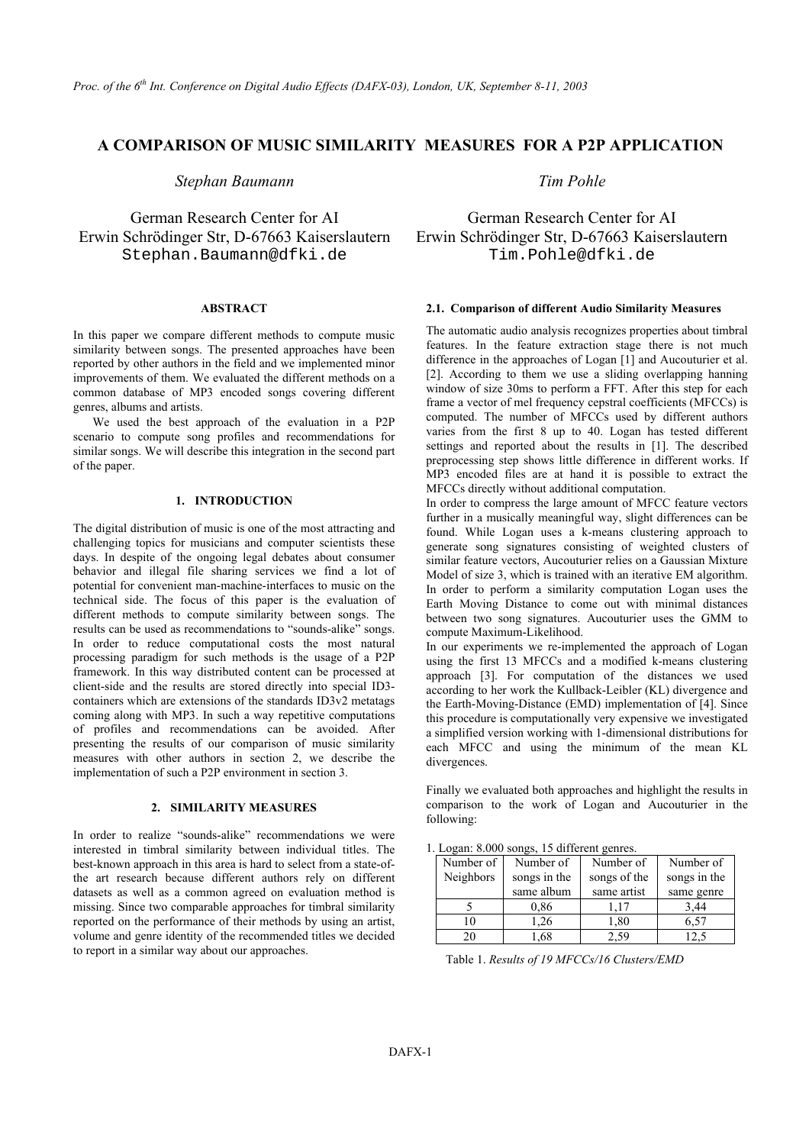# **A COMPARISON OF MUSIC SIMILARITY MEASURES FOR A P2P APPLICATION**

*Stephan Baumann Tim Pohle* 

Erwin Schrödinger Str, D-67663 Kaiserslautern Erwin Schrödinger Str, D-67663 Kaiserslautern Stephan.Baumann@dfki.de Tim.Pohle@dfki.de

### **ABSTRACT**

In this paper we compare different methods to compute music similarity between songs. The presented approaches have been reported by other authors in the field and we implemented minor improvements of them. We evaluated the different methods on a common database of MP3 encoded songs covering different genres, albums and artists.

We used the best approach of the evaluation in a P2P scenario to compute song profiles and recommendations for similar songs. We will describe this integration in the second part of the paper.

# **1. INTRODUCTION**

The digital distribution of music is one of the most attracting and challenging topics for musicians and computer scientists these days. In despite of the ongoing legal debates about consumer behavior and illegal file sharing services we find a lot of potential for convenient man-machine-interfaces to music on the technical side. The focus of this paper is the evaluation of different methods to compute similarity between songs. The results can be used as recommendations to "sounds-alike" songs. In order to reduce computational costs the most natural processing paradigm for such methods is the usage of a P2P framework. In this way distributed content can be processed at client-side and the results are stored directly into special ID3 containers which are extensions of the standards ID3v2 metatags coming along with MP3. In such a way repetitive computations of profiles and recommendations can be avoided. After presenting the results of our comparison of music similarity measures with other authors in section 2, we describe the implementation of such a P2P environment in section 3.

#### **2. SIMILARITY MEASURES**

In order to realize "sounds-alike" recommendations we were interested in timbral similarity between individual titles. The best-known approach in this area is hard to select from a state-ofthe art research because different authors rely on different datasets as well as a common agreed on evaluation method is missing. Since two comparable approaches for timbral similarity reported on the performance of their methods by using an artist, volume and genre identity of the recommended titles we decided to report in a similar way about our approaches.

German Research Center for AI German Research Center for AI

#### **2.1. Comparison of different Audio Similarity Measures**

The automatic audio analysis recognizes properties about timbral features. In the feature extraction stage there is not much difference in the approaches of Logan [1] and Aucouturier et al. [2]. According to them we use a sliding overlapping hanning window of size 30ms to perform a FFT. After this step for each frame a vector of mel frequency cepstral coefficients (MFCCs) is computed. The number of MFCCs used by different authors varies from the first 8 up to 40. Logan has tested different settings and reported about the results in [1]. The described preprocessing step shows little difference in different works. If MP3 encoded files are at hand it is possible to extract the MFCCs directly without additional computation.

In order to compress the large amount of MFCC feature vectors further in a musically meaningful way, slight differences can be found. While Logan uses a k-means clustering approach to generate song signatures consisting of weighted clusters of similar feature vectors, Aucouturier relies on a Gaussian Mixture Model of size 3, which is trained with an iterative EM algorithm. In order to perform a similarity computation Logan uses the Earth Moving Distance to come out with minimal distances between two song signatures. Aucouturier uses the GMM to compute Maximum-Likelihood.

In our experiments we re-implemented the approach of Logan using the first 13 MFCCs and a modified k-means clustering approach [3]. For computation of the distances we used according to her work the Kullback-Leibler (KL) divergence and the Earth-Moving-Distance (EMD) implementation of [4]. Since this procedure is computationally very expensive we investigated a simplified version working with 1-dimensional distributions for each MFCC and using the minimum of the mean KL divergences.

Finally we evaluated both approaches and highlight the results in comparison to the work of Logan and Aucouturier in the following:

| $E_{\text{c}}$ and $E_{\text{c}}$ are $E_{\text{c}}$ and $E_{\text{c}}$ are $E_{\text{c}}$ and $E_{\text{c}}$ are $E_{\text{c}}$ and $E_{\text{c}}$ are $E_{\text{c}}$ and $E_{\text{c}}$ are $E_{\text{c}}$ and $E_{\text{c}}$ are $E_{\text{c}}$ and $E_{\text{c}}$ are $E_{\text{c}}$ and $E_{\text{c}}$ a |              |              |              |  |
|---------------------------------------------------------------------------------------------------------------------------------------------------------------------------------------------------------------------------------------------------------------------------------------------------------------|--------------|--------------|--------------|--|
| Number of<br>Number of                                                                                                                                                                                                                                                                                        |              | Number of    | Number of    |  |
| Neighbors                                                                                                                                                                                                                                                                                                     | songs in the | songs of the | songs in the |  |
|                                                                                                                                                                                                                                                                                                               | same album   | same artist  | same genre   |  |
|                                                                                                                                                                                                                                                                                                               | 0.86         | 1.17         | 3,44         |  |
| 10                                                                                                                                                                                                                                                                                                            | 1.26         | 1,80         | 6.57         |  |
| 20                                                                                                                                                                                                                                                                                                            | 1.68         | 2.59         | 12.5         |  |

1. Logan: 8.000 songs, 15 different genres.

Table 1. *Results of 19 MFCCs/16 Clusters/EMD*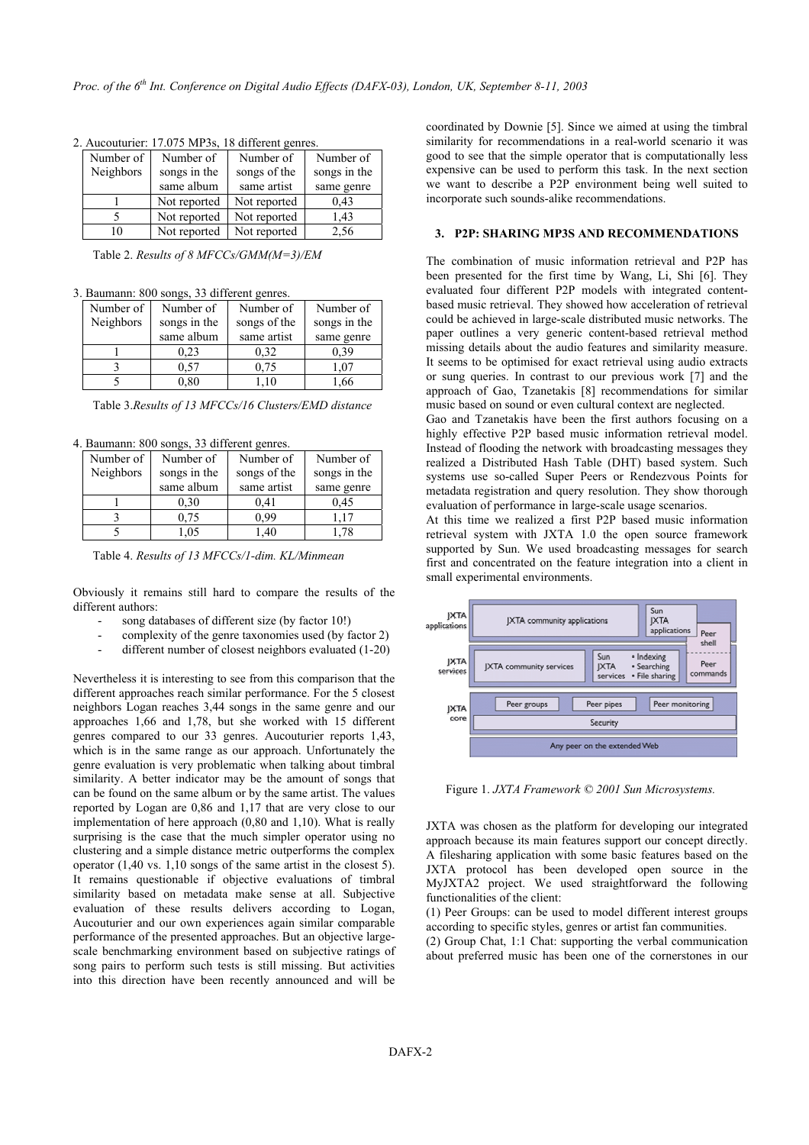| Number of | Number of    | Number of    | Number of    |
|-----------|--------------|--------------|--------------|
| Neighbors | songs in the | songs of the | songs in the |
|           | same album   | same artist  | same genre   |
|           | Not reported | Not reported | 0.43         |
|           | Not reported | Not reported | 1.43         |
|           | Not reported | Not reported | 2,56         |

2. Aucouturier: 17.075 MP3s, 18 different genres.

Table 2. *Results of 8 MFCCs/GMM(M=3)/EM* 

|  | 3. Baumann: 800 songs, 33 different genres. |  |  |  |  |  |
|--|---------------------------------------------|--|--|--|--|--|
|--|---------------------------------------------|--|--|--|--|--|

| Number of | Number of    | Number of    | Number of  |  |
|-----------|--------------|--------------|------------|--|
| Neighbors | songs in the | songs of the |            |  |
|           | same album   | same artist  | same genre |  |
|           | 0.23         | 0.32         | 0.39       |  |
|           | 0.57         | 0,75         | 07         |  |
|           | $_{0.80}$    | 1.10         | .66        |  |

Table 3.*Results of 13 MFCCs/16 Clusters/EMD distance* 

4. Baumann: 800 songs, 33 different genres.

| Number of | Number of    | Number of    | Number of    |  |
|-----------|--------------|--------------|--------------|--|
| Neighbors | songs in the | songs of the | songs in the |  |
|           | same album   | same artist  | same genre   |  |
|           | 0,30         | 0.41         | 0.45         |  |
|           | 0.75         | 0 99         | 117          |  |
|           | .05          | .40          | -78          |  |

Table 4. *Results of 13 MFCCs/1-dim. KL/Minmean*

Obviously it remains still hard to compare the results of the different authors:

- song databases of different size (by factor 10!)
- complexity of the genre taxonomies used (by factor 2)
- different number of closest neighbors evaluated (1-20)

Nevertheless it is interesting to see from this comparison that the different approaches reach similar performance. For the 5 closest neighbors Logan reaches 3,44 songs in the same genre and our approaches 1,66 and 1,78, but she worked with 15 different genres compared to our 33 genres. Aucouturier reports 1,43, which is in the same range as our approach. Unfortunately the genre evaluation is very problematic when talking about timbral similarity. A better indicator may be the amount of songs that can be found on the same album or by the same artist. The values reported by Logan are 0,86 and 1,17 that are very close to our implementation of here approach (0,80 and 1,10). What is really surprising is the case that the much simpler operator using no clustering and a simple distance metric outperforms the complex operator (1,40 vs. 1,10 songs of the same artist in the closest 5). It remains questionable if objective evaluations of timbral similarity based on metadata make sense at all. Subjective evaluation of these results delivers according to Logan, Aucouturier and our own experiences again similar comparable performance of the presented approaches. But an objective largescale benchmarking environment based on subjective ratings of song pairs to perform such tests is still missing. But activities into this direction have been recently announced and will be

coordinated by Downie [5]. Since we aimed at using the timbral similarity for recommendations in a real-world scenario it was good to see that the simple operator that is computationally less expensive can be used to perform this task. In the next section we want to describe a P2P environment being well suited to incorporate such sounds-alike recommendations.

## **3. P2P: SHARING MP3S AND RECOMMENDATIONS**

The combination of music information retrieval and P2P has been presented for the first time by Wang, Li, Shi [6]. They evaluated four different P2P models with integrated contentbased music retrieval. They showed how acceleration of retrieval could be achieved in large-scale distributed music networks. The paper outlines a very generic content-based retrieval method missing details about the audio features and similarity measure. It seems to be optimised for exact retrieval using audio extracts or sung queries. In contrast to our previous work [7] and the approach of Gao, Tzanetakis [8] recommendations for similar music based on sound or even cultural context are neglected.

Gao and Tzanetakis have been the first authors focusing on a highly effective P2P based music information retrieval model. Instead of flooding the network with broadcasting messages they realized a Distributed Hash Table (DHT) based system. Such systems use so-called Super Peers or Rendezvous Points for metadata registration and query resolution. They show thorough evaluation of performance in large-scale usage scenarios.

At this time we realized a first P2P based music information retrieval system with JXTA 1.0 the open source framework supported by Sun. We used broadcasting messages for search first and concentrated on the feature integration into a client in small experimental environments.



Figure 1. *JXTA Framework © 2001 Sun Microsystems.* 

JXTA was chosen as the platform for developing our integrated approach because its main features support our concept directly. A filesharing application with some basic features based on the JXTA protocol has been developed open source in the MyJXTA2 project. We used straightforward the following functionalities of the client:

(1) Peer Groups: can be used to model different interest groups according to specific styles, genres or artist fan communities.

(2) Group Chat, 1:1 Chat: supporting the verbal communication about preferred music has been one of the cornerstones in our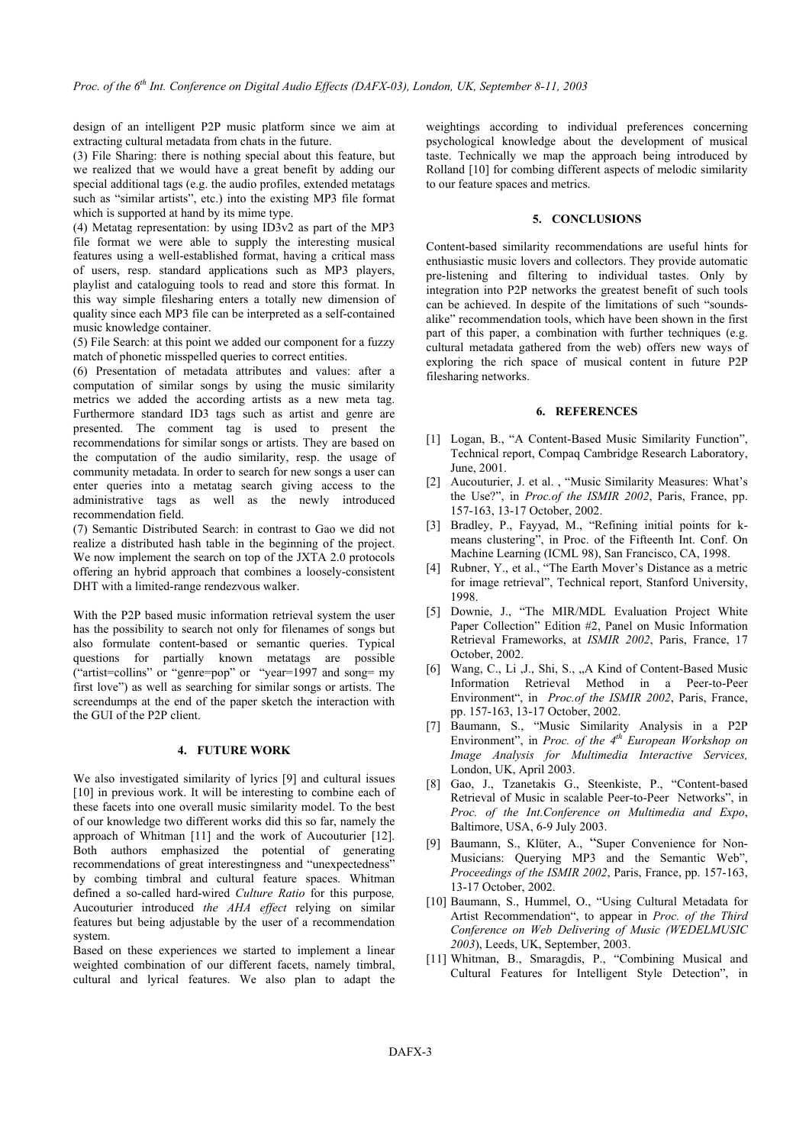design of an intelligent P2P music platform since we aim at extracting cultural metadata from chats in the future.

(3) File Sharing: there is nothing special about this feature, but we realized that we would have a great benefit by adding our special additional tags (e.g. the audio profiles, extended metatags such as "similar artists", etc.) into the existing MP3 file format which is supported at hand by its mime type.

(4) Metatag representation: by using ID3v2 as part of the MP3 file format we were able to supply the interesting musical features using a well-established format, having a critical mass of users, resp. standard applications such as MP3 players, playlist and cataloguing tools to read and store this format. In this way simple filesharing enters a totally new dimension of quality since each MP3 file can be interpreted as a self-contained music knowledge container.

(5) File Search: at this point we added our component for a fuzzy match of phonetic misspelled queries to correct entities.

(6) Presentation of metadata attributes and values: after a computation of similar songs by using the music similarity metrics we added the according artists as a new meta tag. Furthermore standard ID3 tags such as artist and genre are presented. The comment tag is used to present the recommendations for similar songs or artists. They are based on the computation of the audio similarity, resp. the usage of community metadata. In order to search for new songs a user can enter queries into a metatag search giving access to the administrative tags as well as the newly introduced recommendation field.

(7) Semantic Distributed Search: in contrast to Gao we did not realize a distributed hash table in the beginning of the project. We now implement the search on top of the JXTA 2.0 protocols offering an hybrid approach that combines a loosely-consistent DHT with a limited-range rendezvous walker.

With the P2P based music information retrieval system the user has the possibility to search not only for filenames of songs but also formulate content-based or semantic queries. Typical questions for partially known metatags are possible ("artist=collins" or "genre=pop" or "year=1997 and song= my first love") as well as searching for similar songs or artists. The screendumps at the end of the paper sketch the interaction with the GUI of the P2P client.

# **4. FUTURE WORK**

We also investigated similarity of lyrics [9] and cultural issues [10] in previous work. It will be interesting to combine each of these facets into one overall music similarity model. To the best of our knowledge two different works did this so far, namely the approach of Whitman [11] and the work of Aucouturier [12]. Both authors emphasized the potential of generating recommendations of great interestingness and "unexpectedness" by combing timbral and cultural feature spaces. Whitman defined a so-called hard-wired *Culture Ratio* for this purpose*,*  Aucouturier introduced *the AHA effect* relying on similar features but being adjustable by the user of a recommendation system.

Based on these experiences we started to implement a linear weighted combination of our different facets, namely timbral, cultural and lyrical features. We also plan to adapt the

weightings according to individual preferences concerning psychological knowledge about the development of musical taste. Technically we map the approach being introduced by Rolland [10] for combing different aspects of melodic similarity to our feature spaces and metrics.

# **5. CONCLUSIONS**

Content-based similarity recommendations are useful hints for enthusiastic music lovers and collectors. They provide automatic pre-listening and filtering to individual tastes. Only by integration into P2P networks the greatest benefit of such tools can be achieved. In despite of the limitations of such "soundsalike" recommendation tools, which have been shown in the first part of this paper, a combination with further techniques (e.g. cultural metadata gathered from the web) offers new ways of exploring the rich space of musical content in future P2P filesharing networks.

#### **6. REFERENCES**

- [1] Logan, B., "A Content-Based Music Similarity Function", Technical report, Compaq Cambridge Research Laboratory, June, 2001.
- [2] Aucouturier, J. et al. , "Music Similarity Measures: What's the Use?", in *Proc.of the ISMIR 2002*, Paris, France, pp. 157-163, 13-17 October, 2002.
- [3] Bradley, P., Fayyad, M., "Refining initial points for kmeans clustering", in Proc. of the Fifteenth Int. Conf. On Machine Learning (ICML 98), San Francisco, CA, 1998.
- [4] Rubner, Y., et al., "The Earth Mover's Distance as a metric for image retrieval", Technical report, Stanford University, 1998.
- [5] Downie, J., "The MIR/MDL Evaluation Project White Paper Collection" Edition #2, Panel on Music Information Retrieval Frameworks, at *ISMIR 2002*, Paris, France, 17 October, 2002.
- [6] Wang, C., Li , J., Shi, S., "A Kind of Content-Based Music Information Retrieval Method in a Peer-to-Peer Environment", in *Proc.of the ISMIR 2002*, Paris, France, pp. 157-163, 13-17 October, 2002.
- [7] Baumann, S., "Music Similarity Analysis in a P2P Environment", in *Proc. of the 4th European Workshop on Image Analysis for Multimedia Interactive Services,* London, UK, April 2003.
- [8] Gao, J., Tzanetakis G., Steenkiste, P., "Content-based Retrieval of Music in scalable Peer-to-Peer Networks", in *Proc. of the Int.Conference on Multimedia and Expo*, Baltimore, USA, 6-9 July 2003.
- [9] Baumann, S., Klüter, A., "Super Convenience for Non-Musicians: Querying MP3 and the Semantic Web", *Proceedings of the ISMIR 2002*, Paris, France, pp. 157-163, 13-17 October, 2002.
- [10] Baumann, S., Hummel, O., "Using Cultural Metadata for Artist Recommendation", to appear in *Proc. of the Third Conference on Web Delivering of Music (WEDELMUSIC 2003*), Leeds, UK, September, 2003.
- [11] Whitman, B., Smaragdis, P., "Combining Musical and Cultural Features for Intelligent Style Detection", in